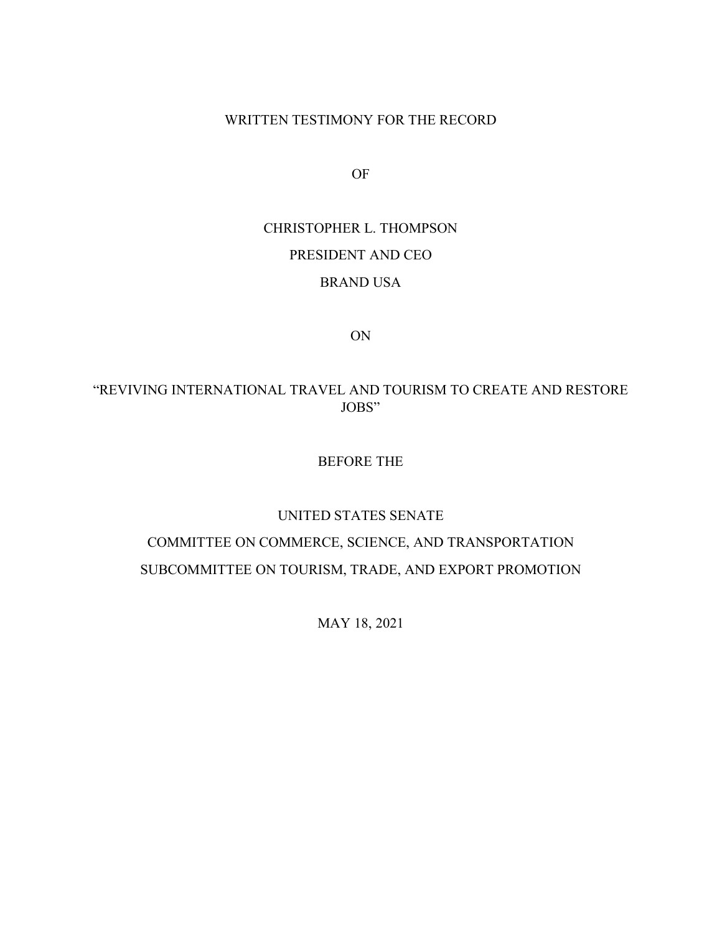WRITTEN TESTIMONY FOR THE RECORD

OF

CHRISTOPHER L. THOMPSON PRESIDENT AND CEO BRAND USA

ON

# "REVIVING INTERNATIONAL TRAVEL AND TOURISM TO CREATE AND RESTORE JOBS"

#### BEFORE THE

#### UNITED STATES SENATE

# COMMITTEE ON COMMERCE, SCIENCE, AND TRANSPORTATION SUBCOMMITTEE ON TOURISM, TRADE, AND EXPORT PROMOTION

MAY 18, 2021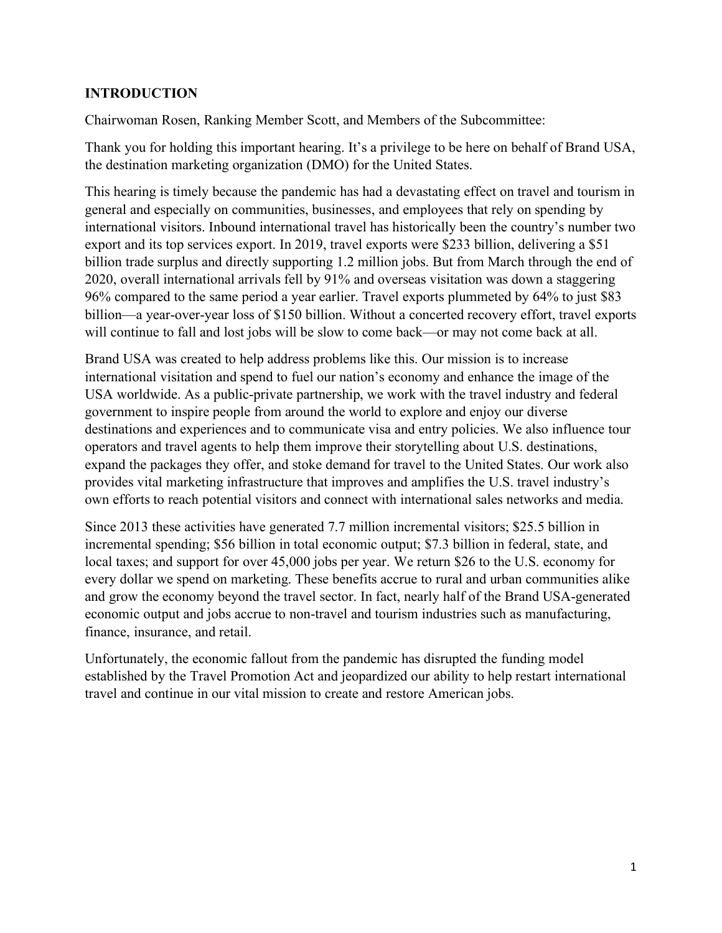# **INTRODUCTION**

Chairwoman Rosen, Ranking Member Scott, and Members of the Subcommittee:

Thank you for holding this important hearing. It's a privilege to be here on behalf of Brand USA, the destination marketing organization (DMO) for the United States.

This hearing is timely because the pandemic has had a devastating effect on travel and tourism in general and especially on communities, businesses, and employees that rely on spending by international visitors. Inbound international travel has historically been the country's number two export and its top services export. In 2019, travel exports were \$233 billion, delivering a \$51 billion trade surplus and directly supporting 1.2 million jobs. But from March through the end of 2020, overall international arrivals fell by 91% and overseas visitation was down a staggering 96% compared to the same period a year earlier. Travel exports plummeted by 64% to just \$83 billion—a year-over-year loss of \$150 billion. Without a concerted recovery effort, travel exports will continue to fall and lost jobs will be slow to come back—or may not come back at all.

Brand USA was created to help address problems like this. Our mission is to increase international visitation and spend to fuel our nation's economy and enhance the image of the USA worldwide. As a public-private partnership, we work with the travel industry and federal government to inspire people from around the world to explore and enjoy our diverse destinations and experiences and to communicate visa and entry policies. We also influence tour operators and travel agents to help them improve their storytelling about U.S. destinations, expand the packages they offer, and stoke demand for travel to the United States. Our work also provides vital marketing infrastructure that improves and amplifies the U.S. travel industry's own efforts to reach potential visitors and connect with international sales networks and media.

Since 2013 these activities have generated 7.7 million incremental visitors; \$25.5 billion in incremental spending; \$56 billion in total economic output; \$7.3 billion in federal, state, and local taxes; and support for over 45,000 jobs per year. We return \$26 to the U.S. economy for every dollar we spend on marketing. These benefits accrue to rural and urban communities alike and grow the economy beyond the travel sector. In fact, nearly half of the Brand USA-generated economic output and jobs accrue to non-travel and tourism industries such as manufacturing, finance, insurance, and retail.

Unfortunately, the economic fallout from the pandemic has disrupted the funding model established by the Travel Promotion Act and jeopardized our ability to help restart international travel and continue in our vital mission to create and restore American jobs.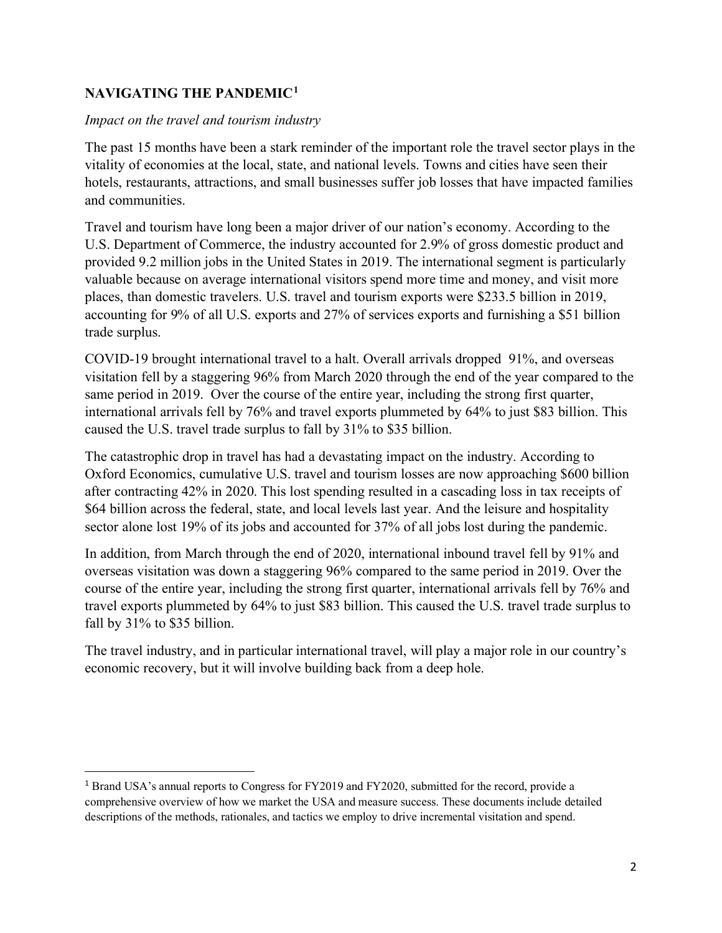# **NAVIGATING THE PANDEMIC[1](#page-2-0)**

# *Impact on the travel and tourism industry*

The past 15 months have been a stark reminder of the important role the travel sector plays in the vitality of economies at the local, state, and national levels. Towns and cities have seen their hotels, restaurants, attractions, and small businesses suffer job losses that have impacted families and communities.

Travel and tourism have long been a major driver of our nation's economy. According to the U.S. Department of Commerce, the industry accounted for 2.9% of gross domestic product and provided 9.2 million jobs in the United States in 2019. The international segment is particularly valuable because on average international visitors spend more time and money, and visit more places, than domestic travelers. U.S. travel and tourism exports were \$233.5 billion in 2019, accounting for 9% of all U.S. exports and 27% of services exports and furnishing a \$51 billion trade surplus.

COVID-19 brought international travel to a halt. Overall arrivals dropped 91%, and overseas visitation fell by a staggering 96% from March 2020 through the end of the year compared to the same period in 2019. Over the course of the entire year, including the strong first quarter, international arrivals fell by 76% and travel exports plummeted by 64% to just \$83 billion. This caused the U.S. travel trade surplus to fall by 31% to \$35 billion.

The catastrophic drop in travel has had a devastating impact on the industry. According to Oxford Economics, cumulative U.S. travel and tourism losses are now approaching \$600 billion after contracting 42% in 2020. This lost spending resulted in a cascading loss in tax receipts of \$64 billion across the federal, state, and local levels last year. And the leisure and hospitality sector alone lost 19% of its jobs and accounted for 37% of all jobs lost during the pandemic.

In addition, from March through the end of 2020, international inbound travel fell by 91% and overseas visitation was down a staggering 96% compared to the same period in 2019. Over the course of the entire year, including the strong first quarter, international arrivals fell by 76% and travel exports plummeted by 64% to just \$83 billion. This caused the U.S. travel trade surplus to fall by 31% to \$35 billion.

The travel industry, and in particular international travel, will play a major role in our country's economic recovery, but it will involve building back from a deep hole.

<span id="page-2-0"></span><sup>&</sup>lt;sup>1</sup> Brand USA's annual reports to Congress for FY2019 and FY2020, submitted for the record, provide a comprehensive overview of how we market the USA and measure success. These documents include detailed descriptions of the methods, rationales, and tactics we employ to drive incremental visitation and spend.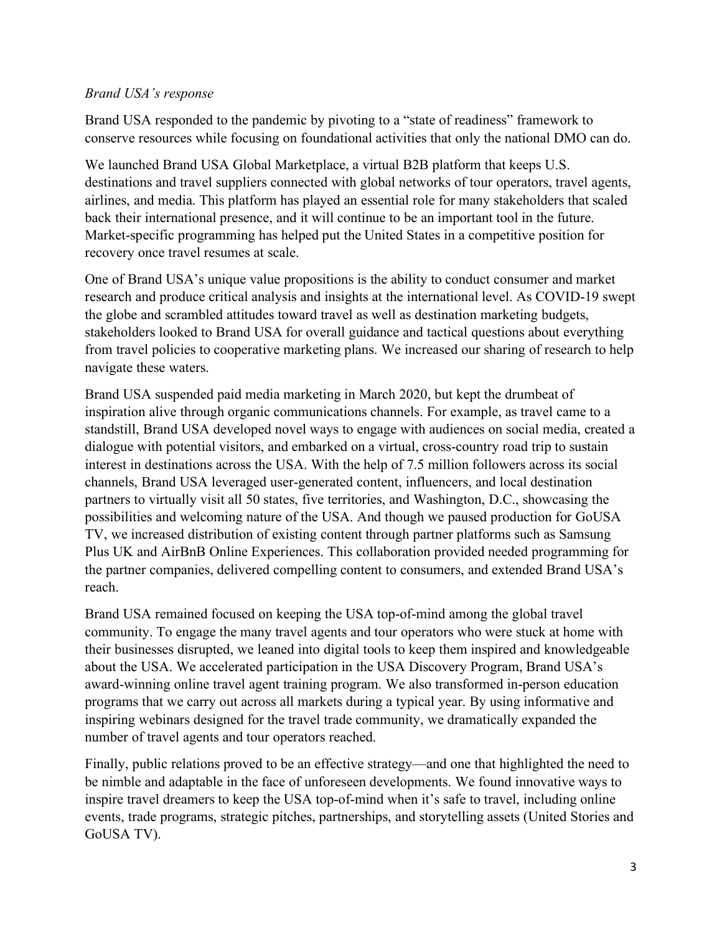## *Brand USA's response*

Brand USA responded to the pandemic by pivoting to a "state of readiness" framework to conserve resources while focusing on foundational activities that only the national DMO can do.

We launched Brand USA Global Marketplace, a virtual B2B platform that keeps U.S. destinations and travel suppliers connected with global networks of tour operators, travel agents, airlines, and media. This platform has played an essential role for many stakeholders that scaled back their international presence, and it will continue to be an important tool in the future. Market-specific programming has helped put the United States in a competitive position for recovery once travel resumes at scale.

One of Brand USA's unique value propositions is the ability to conduct consumer and market research and produce critical analysis and insights at the international level. As COVID-19 swept the globe and scrambled attitudes toward travel as well as destination marketing budgets, stakeholders looked to Brand USA for overall guidance and tactical questions about everything from travel policies to cooperative marketing plans. We increased our sharing of research to help navigate these waters.

Brand USA suspended paid media marketing in March 2020, but kept the drumbeat of inspiration alive through organic communications channels. For example, as travel came to a standstill, Brand USA developed novel ways to engage with audiences on social media, created a dialogue with potential visitors, and embarked on a virtual, cross-country road trip to sustain interest in destinations across the USA. With the help of 7.5 million followers across its social channels, Brand USA leveraged user-generated content, influencers, and local destination partners to virtually visit all 50 states, five territories, and Washington, D.C., showcasing the possibilities and welcoming nature of the USA. And though we paused production for GoUSA TV, we increased distribution of existing content through partner platforms such as Samsung Plus UK and AirBnB Online Experiences. This collaboration provided needed programming for the partner companies, delivered compelling content to consumers, and extended Brand USA's reach.

Brand USA remained focused on keeping the USA top-of-mind among the global travel community. To engage the many travel agents and tour operators who were stuck at home with their businesses disrupted, we leaned into digital tools to keep them inspired and knowledgeable about the USA. We accelerated participation in the USA Discovery Program, Brand USA's award-winning online travel agent training program. We also transformed in-person education programs that we carry out across all markets during a typical year. By using informative and inspiring webinars designed for the travel trade community, we dramatically expanded the number of travel agents and tour operators reached.

Finally, public relations proved to be an effective strategy—and one that highlighted the need to be nimble and adaptable in the face of unforeseen developments. We found innovative ways to inspire travel dreamers to keep the USA top-of-mind when it's safe to travel, including online events, trade programs, strategic pitches, partnerships, and storytelling assets (United Stories and GoUSA TV).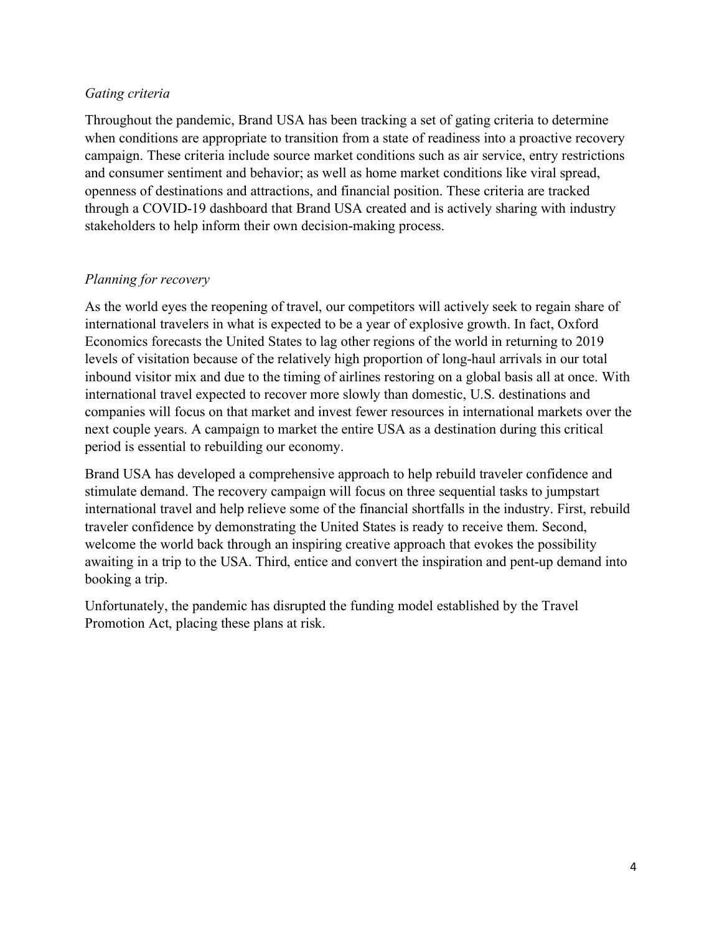## *Gating criteria*

Throughout the pandemic, Brand USA has been tracking a set of gating criteria to determine when conditions are appropriate to transition from a state of readiness into a proactive recovery campaign. These criteria include source market conditions such as air service, entry restrictions and consumer sentiment and behavior; as well as home market conditions like viral spread, openness of destinations and attractions, and financial position. These criteria are tracked through a COVID-19 dashboard that Brand USA created and is actively sharing with industry stakeholders to help inform their own decision-making process.

# *Planning for recovery*

As the world eyes the reopening of travel, our competitors will actively seek to regain share of international travelers in what is expected to be a year of explosive growth. In fact, Oxford Economics forecasts the United States to lag other regions of the world in returning to 2019 levels of visitation because of the relatively high proportion of long-haul arrivals in our total inbound visitor mix and due to the timing of airlines restoring on a global basis all at once. With international travel expected to recover more slowly than domestic, U.S. destinations and companies will focus on that market and invest fewer resources in international markets over the next couple years. A campaign to market the entire USA as a destination during this critical period is essential to rebuilding our economy.

Brand USA has developed a comprehensive approach to help rebuild traveler confidence and stimulate demand. The recovery campaign will focus on three sequential tasks to jumpstart international travel and help relieve some of the financial shortfalls in the industry. First, rebuild traveler confidence by demonstrating the United States is ready to receive them. Second, welcome the world back through an inspiring creative approach that evokes the possibility awaiting in a trip to the USA. Third, entice and convert the inspiration and pent-up demand into booking a trip.

Unfortunately, the pandemic has disrupted the funding model established by the Travel Promotion Act, placing these plans at risk.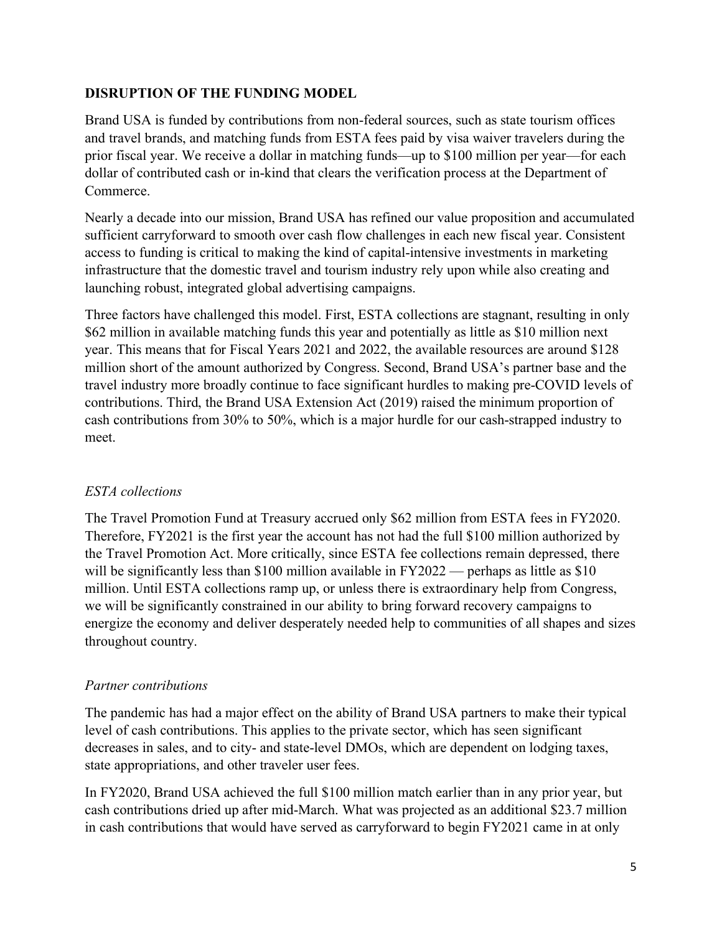# **DISRUPTION OF THE FUNDING MODEL**

Brand USA is funded by contributions from non-federal sources, such as state tourism offices and travel brands, and matching funds from ESTA fees paid by visa waiver travelers during the prior fiscal year. We receive a dollar in matching funds—up to \$100 million per year—for each dollar of contributed cash or in-kind that clears the verification process at the Department of Commerce.

Nearly a decade into our mission, Brand USA has refined our value proposition and accumulated sufficient carryforward to smooth over cash flow challenges in each new fiscal year. Consistent access to funding is critical to making the kind of capital-intensive investments in marketing infrastructure that the domestic travel and tourism industry rely upon while also creating and launching robust, integrated global advertising campaigns.

Three factors have challenged this model. First, ESTA collections are stagnant, resulting in only \$62 million in available matching funds this year and potentially as little as \$10 million next year. This means that for Fiscal Years 2021 and 2022, the available resources are around \$128 million short of the amount authorized by Congress. Second, Brand USA's partner base and the travel industry more broadly continue to face significant hurdles to making pre-COVID levels of contributions. Third, the Brand USA Extension Act (2019) raised the minimum proportion of cash contributions from 30% to 50%, which is a major hurdle for our cash-strapped industry to meet.

# *ESTA collections*

The Travel Promotion Fund at Treasury accrued only \$62 million from ESTA fees in FY2020. Therefore, FY2021 is the first year the account has not had the full \$100 million authorized by the Travel Promotion Act. More critically, since ESTA fee collections remain depressed, there will be significantly less than \$100 million available in FY2022 — perhaps as little as \$10 million. Until ESTA collections ramp up, or unless there is extraordinary help from Congress, we will be significantly constrained in our ability to bring forward recovery campaigns to energize the economy and deliver desperately needed help to communities of all shapes and sizes throughout country.

# *Partner contributions*

The pandemic has had a major effect on the ability of Brand USA partners to make their typical level of cash contributions. This applies to the private sector, which has seen significant decreases in sales, and to city- and state-level DMOs, which are dependent on lodging taxes, state appropriations, and other traveler user fees.

In FY2020, Brand USA achieved the full \$100 million match earlier than in any prior year, but cash contributions dried up after mid-March. What was projected as an additional \$23.7 million in cash contributions that would have served as carryforward to begin FY2021 came in at only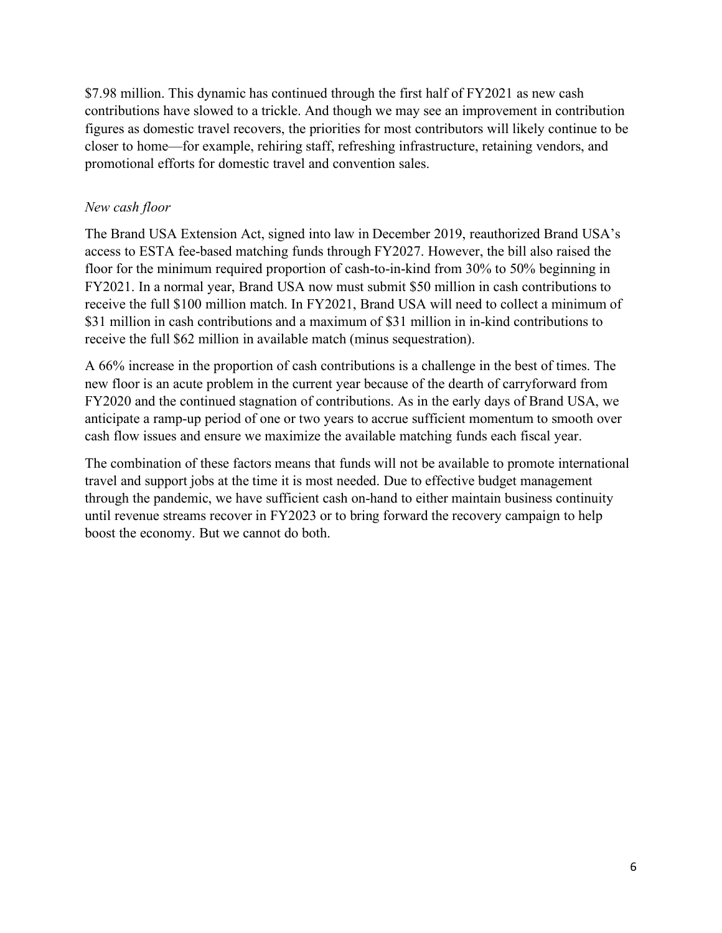\$7.98 million. This dynamic has continued through the first half of FY2021 as new cash contributions have slowed to a trickle. And though we may see an improvement in contribution figures as domestic travel recovers, the priorities for most contributors will likely continue to be closer to home—for example, rehiring staff, refreshing infrastructure, retaining vendors, and promotional efforts for domestic travel and convention sales.

# *New cash floor*

The Brand USA Extension Act, signed into law in December 2019, reauthorized Brand USA's access to ESTA fee-based matching funds through FY2027. However, the bill also raised the floor for the minimum required proportion of cash-to-in-kind from 30% to 50% beginning in FY2021. In a normal year, Brand USA now must submit \$50 million in cash contributions to receive the full \$100 million match. In FY2021, Brand USA will need to collect a minimum of \$31 million in cash contributions and a maximum of \$31 million in in-kind contributions to receive the full \$62 million in available match (minus sequestration).

A 66% increase in the proportion of cash contributions is a challenge in the best of times. The new floor is an acute problem in the current year because of the dearth of carryforward from FY2020 and the continued stagnation of contributions. As in the early days of Brand USA, we anticipate a ramp-up period of one or two years to accrue sufficient momentum to smooth over cash flow issues and ensure we maximize the available matching funds each fiscal year.

The combination of these factors means that funds will not be available to promote international travel and support jobs at the time it is most needed. Due to effective budget management through the pandemic, we have sufficient cash on-hand to either maintain business continuity until revenue streams recover in FY2023 or to bring forward the recovery campaign to help boost the economy. But we cannot do both.